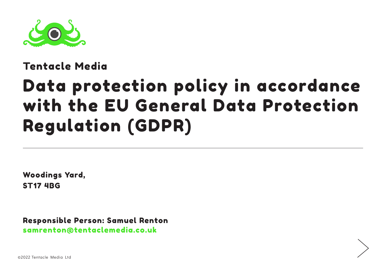

#### Tentacle Media

# Data protection policy in accordance with the EU General Data Protection Regulation (GDPR)

Woodings Yard, ST17 4BG

Responsible Person: Samuel Renton samrenton@tentaclemedia.co.uk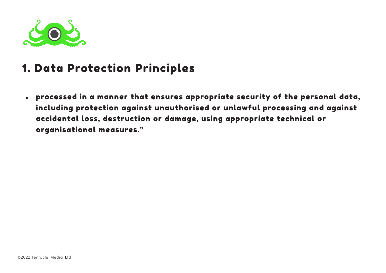

## 1. Data Protection Principles

processed in a manner that ensures appropriate security of the personal data, including protection against unauthorised or unlawful processing and against accidental loss, destruction or damage, using appropriate technical or organisational measures."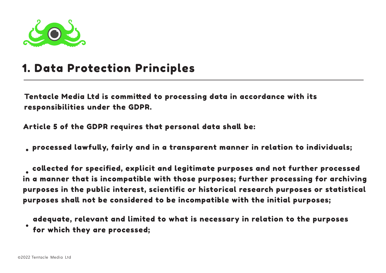

#### 1. Data Protection Principles

Tentacle Media Ltd is committed to processing data in accordance with its responsibilities under the GDPR.

Article 5 of the GDPR requires that personal data shall be:

processed lawfully, fairly and in a transparent manner in relation to individuals;

 collected for specified, explicit and legitimate purposes and not further processed in a manner that is incompatible with those purposes; further processing for archiving purposes in the public interest, scientific or historical research purposes or statistical purposes shall not be considered to be incompatible with the initial purposes;

adequate, relevant and limited to what is necessary in relation to the purposes for which they are processed;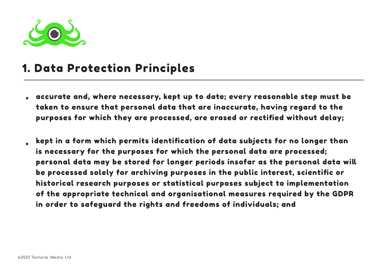

#### 1. Data Protection Principles

- accurate and, where necessary, kept up to date; every reasonable step must be taken to ensure that personal data that are inaccurate, having regard to the purposes for which they are processed, are erased or rectified without delay;
- kept in a form which permits identification of data subjects for no longer than is necessary for the purposes for which the personal data are processed; personal data may be stored for longer periods insofar as the personal data will be processed solely for archiving purposes in the public interest, scientific or historical research purposes or statistical purposes subject to implementation of the appropriate technical and organisational measures required by the GDPR in order to safeguard the rights and freedoms of individuals; and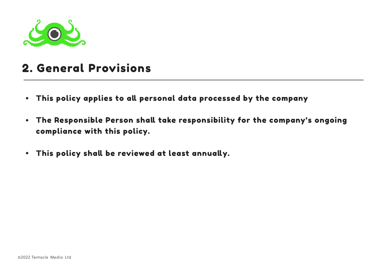

# 2. General Provisions

- This policy applies to all personal data processed by the company
- The Responsible Person shall take responsibility for the company's ongoing compliance with this policy.
- This policy shall be reviewed at least annually.  $\bullet$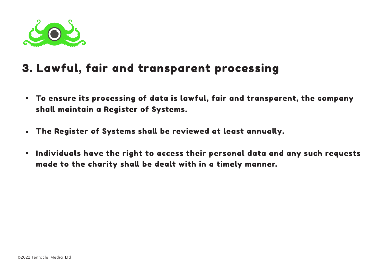

## 3. Lawful, fair and transparent processing

- To ensure its processing of data is lawful, fair and transparent, the company shall maintain a Register of Systems.
- The Register of Systems shall be reviewed at least annually.  $\bullet$
- Individuals have the right to access their personal data and any such requests  $\bullet$ made to the charity shall be dealt with in a timely manner.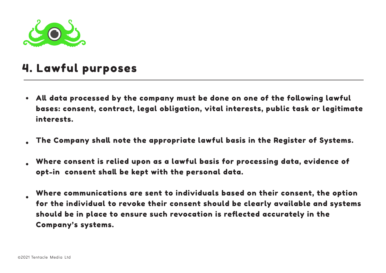

# 4. Lawful purposes

- All data processed by the company must be done on one of the following lawful bases: consent, contract, legal obligation, vital interests, public task or legitimate interests.
- The Company shall note the appropriate lawful basis in the Register of Systems.
- Where consent is relied upon as a lawful basis for processing data, evidence of opt-in consent shall be kept with the personal data.
- Where communications are sent to individuals based on their consent, the option for the individual to revoke their consent should be clearly available and systems should be in place to ensure such revocation is reflected accurately in the Company's systems.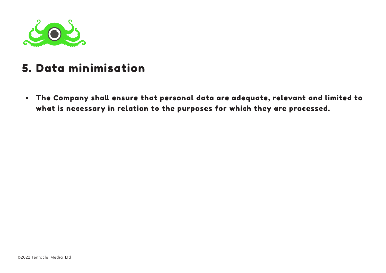

## 5. Data minimisation

The Company shall ensure that personal data are adequate, relevant and limited to what is necessary in relation to the purposes for which they are processed.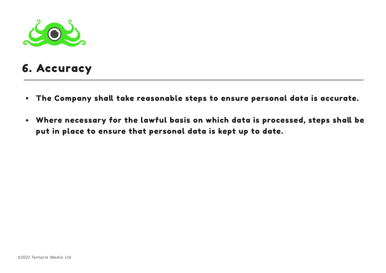

# 6. Accuracy

- The Company shall take reasonable steps to ensure personal data is accurate.
- Where necessary for the lawful basis on which data is processed, steps shall be put in place to ensure that personal data is kept up to date.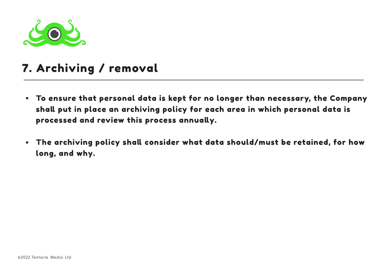

# 7. Archiving / removal

- To ensure that personal data is kept for no longer than necessary, the Company shall put in place an archiving policy for each area in which personal data is processed and review this process annually.
- The archiving policy shall consider what data should/must be retained, for how long, and why.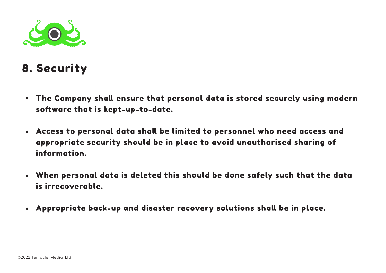

# 8. Security

- The Company shall ensure that personal data is stored securely using modern software that is kept-up-to-date.
- Access to personal data shall be limited to personnel who need access and appropriate security should be in place to avoid unauthorised sharing of information.
- When personal data is deleted this should be done safely such that the data is irrecoverable.
- Appropriate back-up and disaster recovery solutions shall be in place.